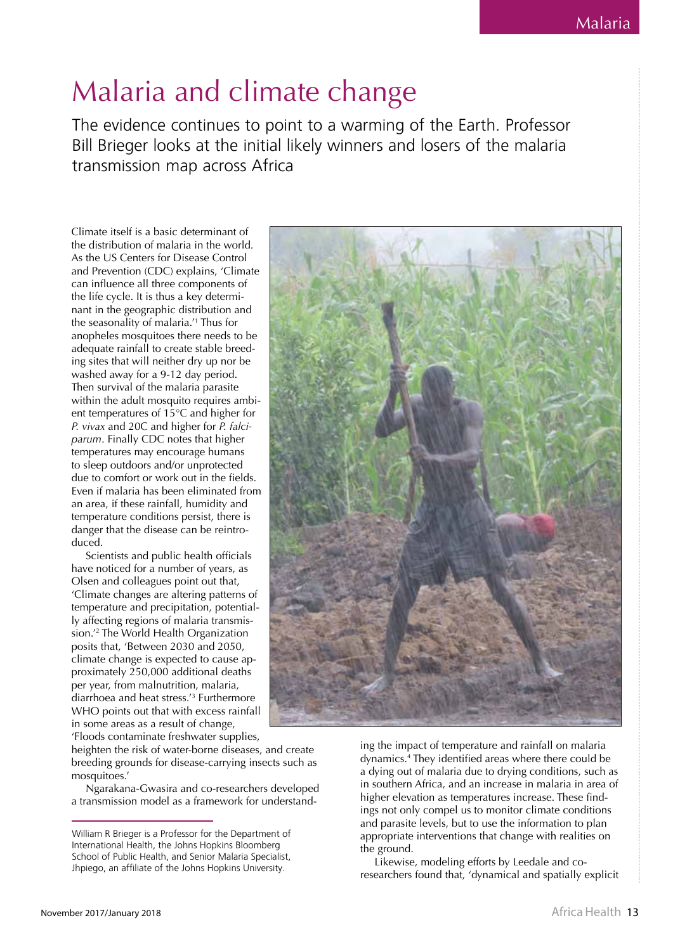## Malaria and climate change

The evidence continues to point to a warming of the Earth. Professor Bill Brieger looks at the initial likely winners and losers of the malaria transmission map across Africa

Climate itself is a basic determinant of the distribution of malaria in the world. As the US Centers for Disease Control and Prevention (CDC) explains, 'Climate can influence all three components of the life cycle. It is thus a key determinant in the geographic distribution and the seasonality of malaria.<sup>11</sup> Thus for anopheles mosquitoes there needs to be adequate rainfall to create stable breeding sites that will neither dry up nor be washed away for a 9-12 day period. Then survival of the malaria parasite within the adult mosquito requires ambient temperatures of 15°C and higher for P. vivax and 20C and higher for P. falciparum. Finally CDC notes that higher temperatures may encourage humans to sleep outdoors and/or unprotected due to comfort or work out in the fields. Even if malaria has been eliminated from an area, if these rainfall, humidity and temperature conditions persist, there is danger that the disease can be reintroduced.

Scientists and public health officials have noticed for a number of years, as Olsen and colleagues point out that, 'Climate changes are altering patterns of temperature and precipitation, potentially affecting regions of malaria transmission.<sup>'2</sup> The World Health Organization posits that, 'Between 2030 and 2050, climate change is expected to cause approximately 250,000 additional deaths per year, from malnutrition, malaria, diarrhoea and heat stress.<sup>13</sup> Furthermore WHO points out that with excess rainfall in some areas as a result of change,

'Floods contaminate freshwater supplies,

heighten the risk of water-borne diseases, and create breeding grounds for disease-carrying insects such as mosquitoes.'

Ngarakana-Gwasira and co-researchers developed a transmission model as a framework for understand-



ing the impact of temperature and rainfall on malaria dynamics.<sup>4</sup> They identified areas where there could be a dying out of malaria due to drying conditions, such as in southern Africa, and an increase in malaria in area of higher elevation as temperatures increase. These findings not only compel us to monitor climate conditions and parasite levels, but to use the information to plan appropriate interventions that change with realities on the ground.

Likewise, modeling efforts by Leedale and coresearchers found that, 'dynamical and spatially explicit

William R Brieger is a Professor for the Department of International Health, the Johns Hopkins Bloomberg School of Public Health, and Senior Malaria Specialist, Jhpiego, an affiliate of the Johns Hopkins University.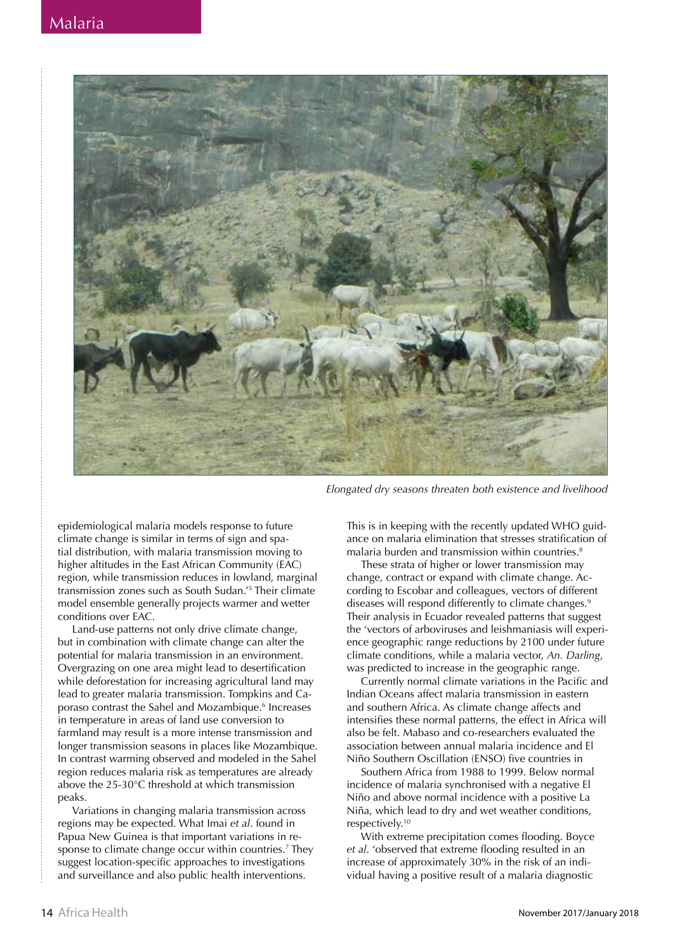

Elongated dry seasons threaten both existence and livelihood

epidemiological malaria models response to future climate change is similar in terms of sign and spatial distribution, with malaria transmission moving to higher altitudes in the East African Community (EAC) region, while transmission reduces in lowland, marginal transmission zones such as South Sudan.<sup>'5</sup> Their climate model ensemble generally projects warmer and wetter conditions over EAC.

Land-use patterns not only drive climate change, but in combination with climate change can alter the potential for malaria transmission in an environment. Overgrazing on one area might lead to desertification while deforestation for increasing agricultural land may lead to greater malaria transmission. Tompkins and Caporaso contrast the Sahel and Mozambique.<sup>6</sup> Increases in temperature in areas of land use conversion to farmland may result is a more intense transmission and longer transmission seasons in places like Mozambique. In contrast warming observed and modeled in the Sahel region reduces malaria risk as temperatures are already above the 25-30°C threshold at which transmission peaks.

Variations in changing malaria transmission across regions may be expected. What Imai et al. found in Papua New Guinea is that important variations in response to climate change occur within countries.<sup>7</sup> They suggest location-specific approaches to investigations and surveillance and also public health interventions.

This is in keeping with the recently updated WHO guidance on malaria elimination that stresses stratification of malaria burden and transmission within countries.<sup>8</sup>

These strata of higher or lower transmission may change, contract or expand with climate change. According to Escobar and colleagues, vectors of different diseases will respond differently to climate changes.<sup>9</sup> Their analysis in Ecuador revealed patterns that suggest the 'vectors of arboviruses and leishmaniasis will experience geographic range reductions by 2100 under future climate conditions, while a malaria vector, An. Darling, was predicted to increase in the geographic range.

Currently normal climate variations in the Pacific and Indian Oceans affect malaria transmission in eastern and southern Africa. As climate change affects and intensifies these normal patterns, the effect in Africa will also be felt. Mabaso and co-researchers evaluated the association between annual malaria incidence and El Niño Southern Oscillation (FNSO) five countries in

Southern Africa from 1988 to 1999. Below normal incidence of malaria synchronised with a negative El Niño and above normal incidence with a positive La Niña, which lead to dry and wet weather conditions, respectively.<sup>10</sup>

With extreme precipitation comes flooding. Boyce et al. 'observed that extreme flooding resulted in an increase of approximately 30% in the risk of an individual having a positive result of a malaria diagnostic